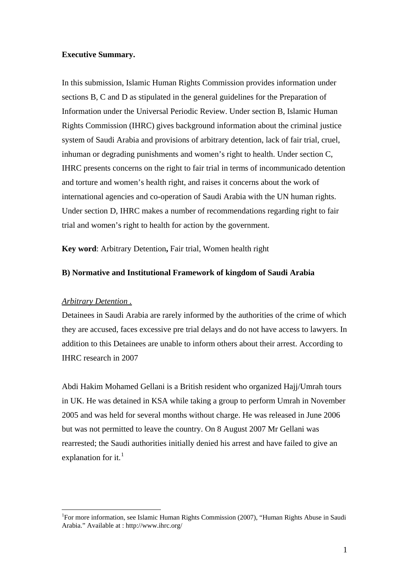## **Executive Summary.**

In this submission, Islamic Human Rights Commission provides information under sections B, C and D as stipulated in the general guidelines for the Preparation of Information under the Universal Periodic Review. Under section B, Islamic Human Rights Commission (IHRC) gives background information about the criminal justice system of Saudi Arabia and provisions of arbitrary detention, lack of fair trial, cruel, inhuman or degrading punishments and women's right to health. Under section C, IHRC presents concerns on the right to fair trial in terms of incommunicado detention and torture and women's health right, and raises it concerns about the work of international agencies and co-operation of Saudi Arabia with the UN human rights. Under section D, IHRC makes a number of recommendations regarding right to fair trial and women's right to health for action by the government.

**Key word**: Arbitrary Detention**,** Fair trial, Women health right

#### **B) Normative and Institutional Framework of kingdom of Saudi Arabia**

## *Arbitrary Detention .*

 $\overline{a}$ 

Detainees in Saudi Arabia are rarely informed by the authorities of the crime of which they are accused, faces excessive pre trial delays and do not have access to lawyers. In addition to this Detainees are unable to inform others about their arrest. According to IHRC research in 2007

Abdi Hakim Mohamed Gellani is a British resident who organized Hajj/Umrah tours in UK. He was detained in KSA while taking a group to perform Umrah in November 2005 and was held for several months without charge. He was released in June 2006 but was not permitted to leave the country. On 8 August 2007 Mr Gellani was rearrested; the Saudi authorities initially denied his arrest and have failed to give an explanation for it. $<sup>1</sup>$  $<sup>1</sup>$  $<sup>1</sup>$ </sup>

<span id="page-0-0"></span><sup>&</sup>lt;sup>1</sup>For more information, see Islamic Human Rights Commission (2007), "Human Rights Abuse in Saudi Arabia." Available at : http://www.ihrc.org/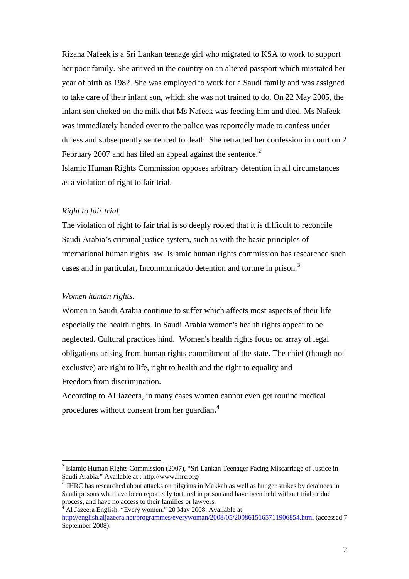Rizana Nafeek is a Sri Lankan teenage girl who migrated to KSA to work to support her poor family. She arrived in the country on an altered passport which misstated her year of birth as 1982. She was employed to work for a Saudi family and was assigned to take care of their infant son, which she was not trained to do. On 22 May 2005, the infant son choked on the milk that Ms Nafeek was feeding him and died. Ms Nafeek was immediately handed over to the police was reportedly made to confess under duress and subsequently sentenced to death. She retracted her confession in court on 2 February [2](#page-1-0)007 and has filed an appeal against the sentence.<sup>2</sup> Islamic Human Rights Commission opposes arbitrary detention in all circumstances

as a violation of right to fair trial.

## *Right to fair trial*

The violation of right to fair trial is so deeply rooted that it is difficult to reconcile Saudi Arabia's criminal justice system, such as with the basic principles of international human rights law. Islamic human rights commission has researched such cases and in particular, Incommunicado detention and torture in prison.<sup>[3](#page-1-1)</sup>

## *Women human rights.*

 $\overline{a}$ 

Women in Saudi Arabia continue to suffer which affects most aspects of their life especially the health rights. In Saudi Arabia women's health rights appear to be neglected. Cultural practices hind. Women's health rights focus on array of legal obligations arising from human rights commitment of the state. The chief (though not exclusive) are right to life, right to health and the right to equality and Freedom from discrimination.

According to Al Jazeera, in many cases women cannot even get routine medical procedures without consent from her guardian**. [4](#page-1-2)**

<span id="page-1-0"></span><sup>&</sup>lt;sup>2</sup> Islamic Human Rights Commission (2007), "Sri Lankan Teenager Facing Miscarriage of Justice in Saudi Arabia." Available at : http://www.ihrc.org/

<span id="page-1-1"></span><sup>&</sup>lt;sup>3</sup> IHRC has researched about attacks on pilgrims in Makkah as well as hunger strikes by detainees in Saudi prisons who have been reportedly tortured in prison and have been held without trial or due process, and have no access to their families or lawyers. 4

Al Jazeera English. "Every women." 20 May 2008. Available at:

<span id="page-1-2"></span><http://english.aljazeera.net/programmes/everywoman/2008/05/2008615165711906854.html>(accessed 7 September 2008).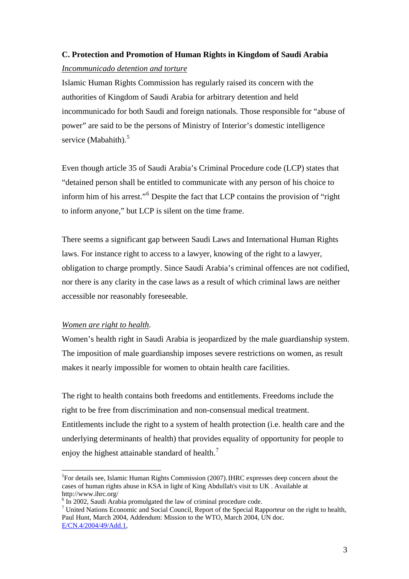# **C. Protection and Promotion of Human Rights in Kingdom of Saudi Arabia**  *Incommunicado detention and torture*

Islamic Human Rights Commission has regularly raised its concern with the authorities of Kingdom of Saudi Arabia for arbitrary detention and held incommunicado for both Saudi and foreign nationals. Those responsible for "abuse of power" are said to be the persons of Ministry of Interior's domestic intelligence service (Mabahith). $5$ 

Even though article 35 of Saudi Arabia's Criminal Procedure code (LCP) states that "detained person shall be entitled to communicate with any person of his choice to inform him of his arrest."<sup>[6](#page-2-1)</sup> Despite the fact that LCP contains the provision of "right" to inform anyone," but LCP is silent on the time frame.

There seems a significant gap between Saudi Laws and International Human Rights laws. For instance right to access to a lawyer, knowing of the right to a lawyer, obligation to charge promptly. Since Saudi Arabia's criminal offences are not codified, nor there is any clarity in the case laws as a result of which criminal laws are neither accessible nor reasonably foreseeable.

## *Women are right to health*.

 $\overline{a}$ 

Women's health right in Saudi Arabia is jeopardized by the male guardianship system. The imposition of male guardianship imposes severe restrictions on women, as result makes it nearly impossible for women to obtain health care facilities.

The right to health contains both freedoms and entitlements. Freedoms include the right to be free from discrimination and non-consensual medical treatment. Entitlements include the right to a system of health protection (i.e. health care and the underlying determinants of health) that provides equality of opportunity for people to enjoy the highest attainable standard of health.<sup>[7](#page-2-2)</sup>

<span id="page-2-0"></span><sup>&</sup>lt;sup>5</sup>For details see, Islamic Human Rights Commission (2007). IHRC expresses deep concern about the cases of human rights abuse in KSA in light of King Abdullah's visit to UK . Available at http://www.ihrc.org/

<sup>&</sup>lt;sup>6</sup> In 2002, Saudi Arabia promulgated the law of criminal procedure code.

<span id="page-2-2"></span><span id="page-2-1"></span><sup>&</sup>lt;sup>7</sup> United Nations Economic and Social Council, Report of the Special Rapporteur on the right to health, Paul Hunt, March 2004, Addendum: Mission to the WTO, March 2004, UN doc. [E/CN.4/2004/49/Add.1](http://www.unhchr.ch/Huridocda/Huridoca.nsf/(Symbol)/E.CN.4.2004.49.Add.1.En?Opendocument),